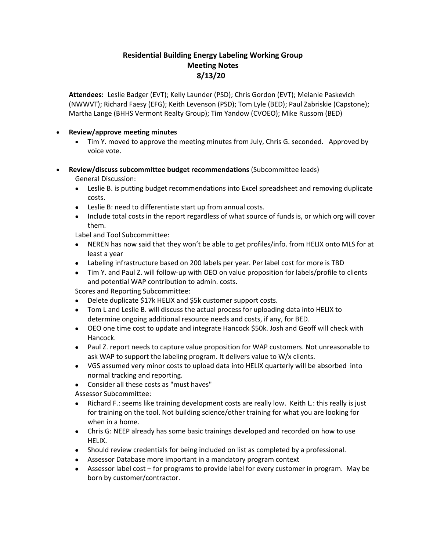## **Residential Building Energy Labeling Working Group Meeting Notes 8/13/20**

**Attendees:** Leslie Badger (EVT); Kelly Launder (PSD); Chris Gordon (EVT); Melanie Paskevich (NWWVT); Richard Faesy (EFG); Keith Levenson (PSD); Tom Lyle (BED); Paul Zabriskie (Capstone); Martha Lange (BHHS Vermont Realty Group); Tim Yandow (CVOEO); Mike Russom (BED)

## • **Review/approve meeting minutes**

- Tim Y. moved to approve the meeting minutes from July, Chris G. seconded. Approved by voice vote.
- **Review/discuss subcommittee budget recommendations** (Subcommittee leads) General Discussion:
	- Leslie B. is putting budget recommendations into Excel spreadsheet and removing duplicate costs.
	- Leslie B: need to differentiate start up from annual costs.
	- Include total costs in the report regardless of what source of funds is, or which org will cover them.

Label and Tool Subcommittee:

- NEREN has now said that they won't be able to get profiles/info. from HELIX onto MLS for at least a year
- Labeling infrastructure based on 200 labels per year. Per label cost for more is TBD
- Tim Y. and Paul Z. will follow-up with OEO on value proposition for labels/profile to clients and potential WAP contribution to admin. costs.

Scores and Reporting Subcommittee:

- Delete duplicate \$17k HELIX and \$5k customer support costs.
- Tom L and Leslie B. will discuss the actual process for uploading data into HELIX to determine ongoing additional resource needs and costs, if any, for BED.
- OEO one time cost to update and integrate Hancock \$50k. Josh and Geoff will check with Hancock.
- Paul Z. report needs to capture value proposition for WAP customers. Not unreasonable to ask WAP to support the labeling program. It delivers value to W/x clients.
- VGS assumed very minor costs to upload data into HELIX quarterly will be absorbed into normal tracking and reporting.
- Consider all these costs as "must haves"

Assessor Subcommittee:

- Richard F.: seems like training development costs are really low. Keith L.: this really is just for training on the tool. Not building science/other training for what you are looking for when in a home.
- Chris G: NEEP already has some basic trainings developed and recorded on how to use HELIX.
- Should review credentials for being included on list as completed by a professional.
- Assessor Database more important in a mandatory program context
- Assessor label cost for programs to provide label for every customer in program. May be born by customer/contractor.